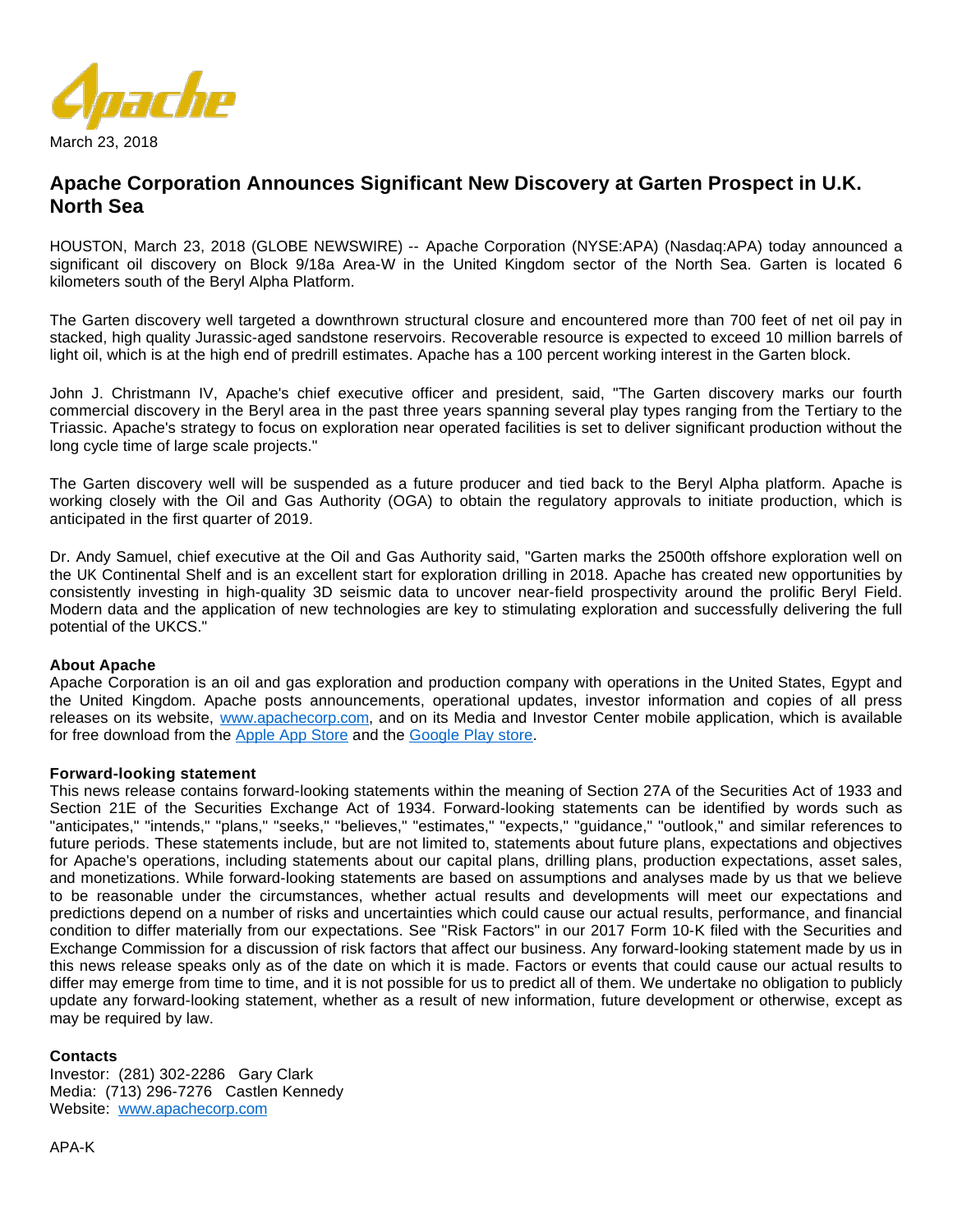

# **Apache Corporation Announces Significant New Discovery at Garten Prospect in U.K. North Sea**

HOUSTON, March 23, 2018 (GLOBE NEWSWIRE) -- Apache Corporation (NYSE:APA) (Nasdaq:APA) today announced a significant oil discovery on Block 9/18a Area-W in the United Kingdom sector of the North Sea. Garten is located 6 kilometers south of the Beryl Alpha Platform.

The Garten discovery well targeted a downthrown structural closure and encountered more than 700 feet of net oil pay in stacked, high quality Jurassic-aged sandstone reservoirs. Recoverable resource is expected to exceed 10 million barrels of light oil, which is at the high end of predrill estimates. Apache has a 100 percent working interest in the Garten block.

John J. Christmann IV, Apache's chief executive officer and president, said, "The Garten discovery marks our fourth commercial discovery in the Beryl area in the past three years spanning several play types ranging from the Tertiary to the Triassic. Apache's strategy to focus on exploration near operated facilities is set to deliver significant production without the long cycle time of large scale projects."

The Garten discovery well will be suspended as a future producer and tied back to the Beryl Alpha platform. Apache is working closely with the Oil and Gas Authority (OGA) to obtain the regulatory approvals to initiate production, which is anticipated in the first quarter of 2019.

Dr. Andy Samuel, chief executive at the Oil and Gas Authority said, "Garten marks the 2500th offshore exploration well on the UK Continental Shelf and is an excellent start for exploration drilling in 2018. Apache has created new opportunities by consistently investing in high-quality 3D seismic data to uncover near-field prospectivity around the prolific Beryl Field. Modern data and the application of new technologies are key to stimulating exploration and successfully delivering the full potential of the UKCS."

### **About Apache**

Apache Corporation is an oil and gas exploration and production company with operations in the United States, Egypt and the United Kingdom. Apache posts announcements, operational updates, investor information and copies of all press releases on its website, [www.apachecorp.com](https://www.globenewswire.com/Tracker?data=Ra_b2BHmGmz1BgT9qlHIxpw_99FE5CAzYYmx-h84lxAhTT5oNVzY2oUsw6qAcMZZZKYGmXLiai1XB3BN6GOhTcmBWZuHoSI0DNx6qGIldY4=), and on its Media and Investor Center mobile application, which is available for free download from the [Apple App Store](https://www.globenewswire.com/Tracker?data=jDsZb389uEvTkYd3BPd8XBGMdCsNmwTzyjGKh3sAU1CR7743aZ6s5xR8bPVDYqsHSD7C__5NZqJ0bu_viR7apzekHZLkOCiwG7SC6e6wtfsIW6vRrnRvkxtrWa1KFOZHPOHy5ZNP6coDcKAJLzMQFte2cGhwPByWzANU6bMS1e0=) and the [Google Play store.](https://www.globenewswire.com/Tracker?data=_ZTX3bfpDrh_kJ7VKeNLhAdK7jwklIeQtqIAgPAc8r3YMIw74wPaASIGgAwej4bFeSZyvW7z6xzuR6QuWPvyWENACqXkrHEnlT88lNamnwwcGcvZk3cwSwCYSQ3-62O0l9tYEUlAs3VqQnvbRwbIOS0MXYVyAvSzboxskdx-FPI=)

### **Forward-looking statement**

This news release contains forward-looking statements within the meaning of Section 27A of the Securities Act of 1933 and Section 21E of the Securities Exchange Act of 1934. Forward-looking statements can be identified by words such as "anticipates," "intends," "plans," "seeks," "believes," "estimates," "expects," "guidance," "outlook," and similar references to future periods. These statements include, but are not limited to, statements about future plans, expectations and objectives for Apache's operations, including statements about our capital plans, drilling plans, production expectations, asset sales, and monetizations. While forward-looking statements are based on assumptions and analyses made by us that we believe to be reasonable under the circumstances, whether actual results and developments will meet our expectations and predictions depend on a number of risks and uncertainties which could cause our actual results, performance, and financial condition to differ materially from our expectations. See "Risk Factors" in our 2017 Form 10-K filed with the Securities and Exchange Commission for a discussion of risk factors that affect our business. Any forward-looking statement made by us in this news release speaks only as of the date on which it is made. Factors or events that could cause our actual results to differ may emerge from time to time, and it is not possible for us to predict all of them. We undertake no obligation to publicly update any forward-looking statement, whether as a result of new information, future development or otherwise, except as may be required by law.

### **Contacts**

Investor: (281) 302-2286 Gary Clark Media: (713) 296-7276 Castlen Kennedy Website: [www.apachecorp.com](https://www.globenewswire.com/Tracker?data=Ra_b2BHmGmz1BgT9qlHIxs4mg9hPKTE-aeLXJOf6pAXpCOkYx5A45NoU3t3NXm0zuVpeOTcz6exO1Yz0VZpvsI20A1zbdVQr1XWy6L7BRaA=)